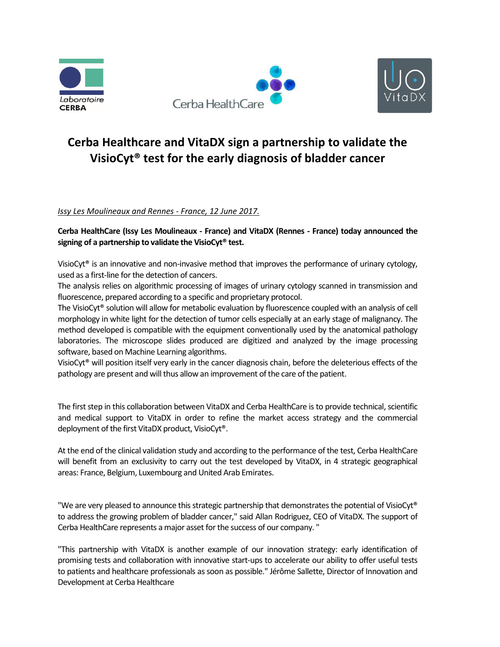





## **Cerba Healthcare and VitaDX sign a partnership to validate the VisioCyt® test for the early diagnosis of bladder cancer**

*Issy Les Moulineaux and Rennes - France, 12 June 2017.*

**Cerba HealthCare (Issy Les Moulineaux - France) and VitaDX (Rennes - France) today announced the signing of a partnership to validate the VisioCyt® test.**

VisioCyt® is an innovative and non-invasive method that improves the performance of urinary cytology, used as a first-line for the detection of cancers.

The analysis relies on algorithmic processing of images of urinary cytology scanned in transmission and fluorescence, prepared according to a specific and proprietary protocol.

The VisioCyt® solution will allow for metabolic evaluation by fluorescence coupled with an analysis of cell morphology in white light for the detection of tumor cells especially at an early stage of malignancy. The method developed is compatible with the equipment conventionally used by the anatomical pathology laboratories. The microscope slides produced are digitized and analyzed by the image processing software, based on Machine Learning algorithms.

VisioCyt® will position itself very early in the cancer diagnosis chain, before the deleterious effects of the pathology are present and will thus allow an improvement of the care of the patient.

The first step in this collaboration between VitaDX and Cerba HealthCare is to provide technical, scientific and medical support to VitaDX in order to refine the market access strategy and the commercial deployment of the first VitaDX product, VisioCyt®.

At the end of the clinical validation study and according to the performance of the test, Cerba HealthCare will benefit from an exclusivity to carry out the test developed by VitaDX, in 4 strategic geographical areas: France, Belgium, Luxembourg and United Arab Emirates.

"We are very pleased to announce this strategic partnership that demonstrates the potential of VisioCyt® to address the growing problem of bladder cancer," said Allan Rodriguez, CEO of VitaDX. The support of Cerba HealthCare represents a major asset for the success of our company. "

"This partnership with VitaDX is another example of our innovation strategy: early identification of promising tests and collaboration with innovative start-ups to accelerate our ability to offer useful tests to patients and healthcare professionals as soon as possible." Jérôme Sallette, Director of Innovation and Development at Cerba Healthcare